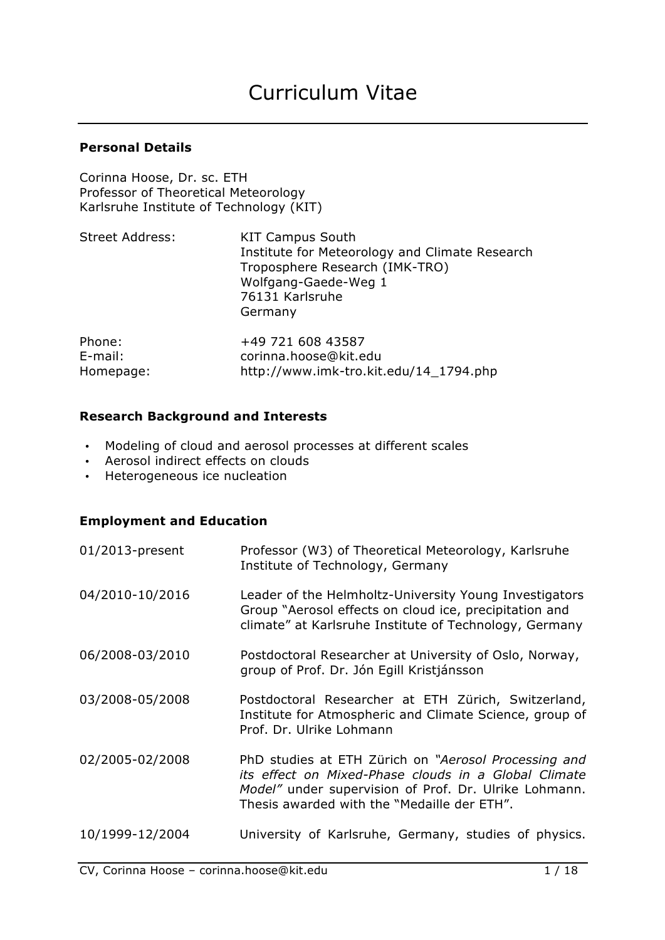## **Personal Details**

Corinna Hoose, Dr. sc. ETH Professor of Theoretical Meteorology Karlsruhe Institute of Technology (KIT)

| <b>Street Address:</b> | <b>KIT Campus South</b><br>Institute for Meteorology and Climate Research<br>Troposphere Research (IMK-TRO)<br>Wolfgang-Gaede-Weg 1<br>76131 Karlsruhe<br>Germany |
|------------------------|-------------------------------------------------------------------------------------------------------------------------------------------------------------------|
| Phone:                 | +49 721 608 43587                                                                                                                                                 |
| E-mail:                | corinna.hoose@kit.edu                                                                                                                                             |

## **Research Background and Interests**

• Modeling of cloud and aerosol processes at different scales

Homepage: http://www.imk-tro.kit.edu/14\_1794.php

- Aerosol indirect effects on clouds
- Heterogeneous ice nucleation

## **Employment and Education**

| 01/2013-present | Professor (W3) of Theoretical Meteorology, Karlsruhe<br>Institute of Technology, Germany                                                                                                                             |
|-----------------|----------------------------------------------------------------------------------------------------------------------------------------------------------------------------------------------------------------------|
| 04/2010-10/2016 | Leader of the Helmholtz-University Young Investigators<br>Group "Aerosol effects on cloud ice, precipitation and<br>climate" at Karlsruhe Institute of Technology, Germany                                           |
| 06/2008-03/2010 | Postdoctoral Researcher at University of Oslo, Norway,<br>group of Prof. Dr. Jón Egill Kristjánsson                                                                                                                  |
| 03/2008-05/2008 | Postdoctoral Researcher at ETH Zürich, Switzerland,<br>Institute for Atmospheric and Climate Science, group of<br>Prof. Dr. Ulrike Lohmann                                                                           |
| 02/2005-02/2008 | PhD studies at ETH Zürich on "Aerosol Processing and<br>its effect on Mixed-Phase clouds in a Global Climate<br>Model" under supervision of Prof. Dr. Ulrike Lohmann.<br>Thesis awarded with the "Medaille der ETH". |
| 10/1999-12/2004 | University of Karlsruhe, Germany, studies of physics.                                                                                                                                                                |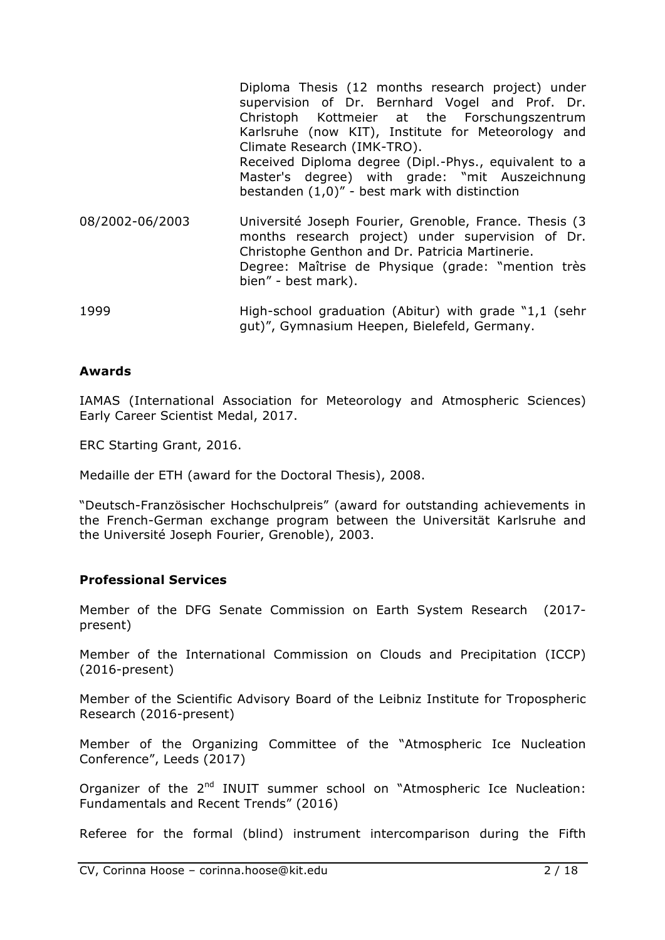|                 | Diploma Thesis (12 months research project) under<br>supervision of Dr. Bernhard Vogel and Prof. Dr.<br>Christoph Kottmeier at the Forschungszentrum<br>Karlsruhe (now KIT), Institute for Meteorology and<br>Climate Research (IMK-TRO).<br>Received Diploma degree (Dipl.-Phys., equivalent to a<br>Master's degree) with grade: "mit Auszeichnung<br>bestanden (1,0)" - best mark with distinction |
|-----------------|-------------------------------------------------------------------------------------------------------------------------------------------------------------------------------------------------------------------------------------------------------------------------------------------------------------------------------------------------------------------------------------------------------|
| 08/2002-06/2003 | Université Joseph Fourier, Grenoble, France. Thesis (3)<br>months research project) under supervision of Dr.<br>Christophe Genthon and Dr. Patricia Martinerie.<br>Degree: Maîtrise de Physique (grade: "mention très<br>bien" - best mark).                                                                                                                                                          |
| 1999            | High-school graduation (Abitur) with grade "1,1 (sehr<br>gut)", Gymnasium Heepen, Bielefeld, Germany.                                                                                                                                                                                                                                                                                                 |

## **Awards**

IAMAS (International Association for Meteorology and Atmospheric Sciences) Early Career Scientist Medal, 2017.

ERC Starting Grant, 2016.

Medaille der ETH (award for the Doctoral Thesis), 2008.

"Deutsch-Französischer Hochschulpreis" (award for outstanding achievements in the French-German exchange program between the Universität Karlsruhe and the Université Joseph Fourier, Grenoble), 2003.

## **Professional Services**

Member of the DFG Senate Commission on Earth System Research (2017 present)

Member of the International Commission on Clouds and Precipitation (ICCP) (2016-present)

Member of the Scientific Advisory Board of the Leibniz Institute for Tropospheric Research (2016-present)

Member of the Organizing Committee of the "Atmospheric Ice Nucleation Conference", Leeds (2017)

Organizer of the 2<sup>nd</sup> INUIT summer school on "Atmospheric Ice Nucleation: Fundamentals and Recent Trends" (2016)

Referee for the formal (blind) instrument intercomparison during the Fifth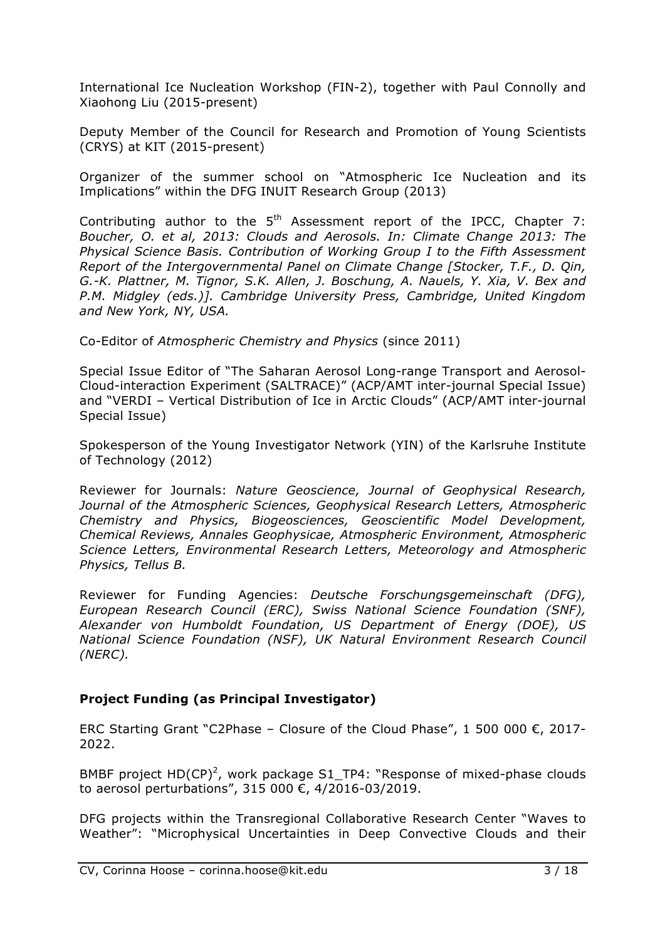International Ice Nucleation Workshop (FIN-2), together with Paul Connolly and Xiaohong Liu (2015-present)

Deputy Member of the Council for Research and Promotion of Young Scientists (CRYS) at KIT (2015-present)

Organizer of the summer school on "Atmospheric Ice Nucleation and its Implications" within the DFG INUIT Research Group (2013)

Contributing author to the  $5<sup>th</sup>$  Assessment report of the IPCC, Chapter 7: *Boucher, O. et al, 2013: Clouds and Aerosols. In: Climate Change 2013: The Physical Science Basis. Contribution of Working Group I to the Fifth Assessment Report of the Intergovernmental Panel on Climate Change [Stocker, T.F., D. Qin, G.-K. Plattner, M. Tignor, S.K. Allen, J. Boschung, A. Nauels, Y. Xia, V. Bex and*  P.M. Midgley (eds.)]. Cambridge University Press, Cambridge, United Kingdom *and New York, NY, USA.*

Co-Editor of *Atmospheric Chemistry and Physics* (since 2011)

Special Issue Editor of "The Saharan Aerosol Long-range Transport and Aerosol-Cloud-interaction Experiment (SALTRACE)" (ACP/AMT inter-journal Special Issue) and "VERDI – Vertical Distribution of Ice in Arctic Clouds" (ACP/AMT inter-journal Special Issue)

Spokesperson of the Young Investigator Network (YIN) of the Karlsruhe Institute of Technology (2012)

Reviewer for Journals: *Nature Geoscience, Journal of Geophysical Research, Journal of the Atmospheric Sciences, Geophysical Research Letters, Atmospheric Chemistry and Physics, Biogeosciences, Geoscientific Model Development, Chemical Reviews, Annales Geophysicae, Atmospheric Environment, Atmospheric Science Letters, Environmental Research Letters, Meteorology and Atmospheric Physics, Tellus B.* 

Reviewer for Funding Agencies: *Deutsche Forschungsgemeinschaft (DFG), European Research Council (ERC), Swiss National Science Foundation (SNF), Alexander von Humboldt Foundation, US Department of Energy (DOE), US National Science Foundation (NSF), UK Natural Environment Research Council (NERC).*

# **Project Funding (as Principal Investigator)**

ERC Starting Grant "C2Phase – Closure of the Cloud Phase",  $1\,500\,000$   $\epsilon$ , 2017-2022.

BMBF project  $HD(CP)^2$ , work package S1\_TP4: "Response of mixed-phase clouds to aerosol perturbations", 315 000 €, 4/2016-03/2019.

DFG projects within the Transregional Collaborative Research Center "Waves to Weather": "Microphysical Uncertainties in Deep Convective Clouds and their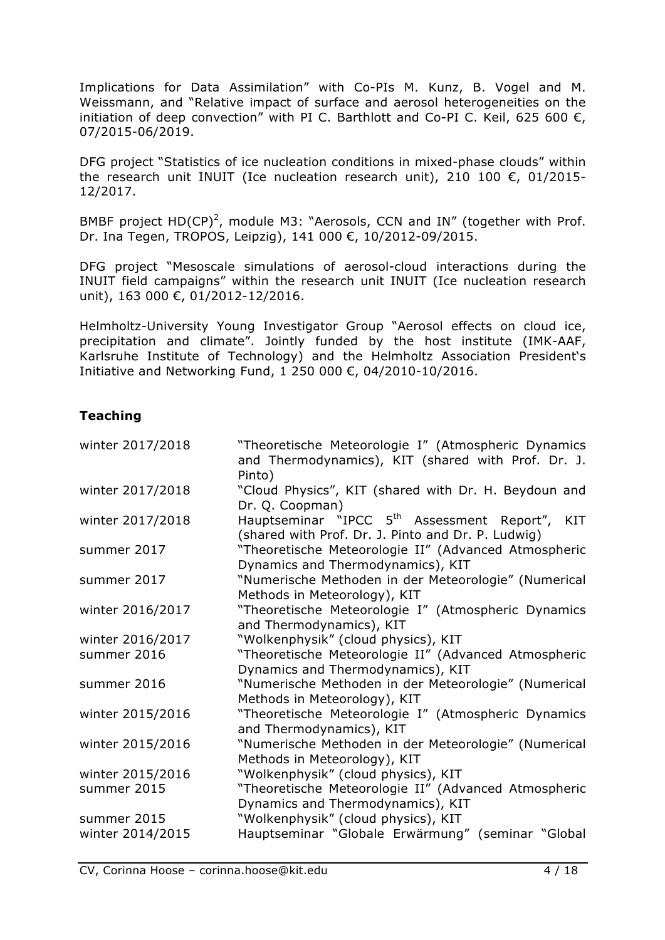Implications for Data Assimilation" with Co-PIs M. Kunz, B. Vogel and M. Weissmann, and "Relative impact of surface and aerosol heterogeneities on the initiation of deep convection" with PI C. Barthlott and Co-PI C. Keil, 625 600  $\epsilon$ , 07/2015-06/2019.

DFG project "Statistics of ice nucleation conditions in mixed-phase clouds" within the research unit INUIT (Ice nucleation research unit), 210 100 €, 01/2015- 12/2017.

BMBF project  $HD(CP)^2$ , module M3: "Aerosols, CCN and IN" (together with Prof. Dr. Ina Tegen, TROPOS, Leipzig), 141 000 €, 10/2012-09/2015.

DFG project "Mesoscale simulations of aerosol-cloud interactions during the INUIT field campaigns" within the research unit INUIT (Ice nucleation research unit), 163 000 €, 01/2012-12/2016.

Helmholtz-University Young Investigator Group "Aerosol effects on cloud ice, precipitation and climate". Jointly funded by the host institute (IMK-AAF, Karlsruhe Institute of Technology) and the Helmholtz Association President's Initiative and Networking Fund, 1 250 000 €, 04/2010-10/2016.

## **Teaching**

| winter 2017/2018 | "Theoretische Meteorologie I" (Atmospheric Dynamics<br>and Thermodynamics), KIT (shared with Prof. Dr. J.<br>Pinto) |
|------------------|---------------------------------------------------------------------------------------------------------------------|
| winter 2017/2018 | "Cloud Physics", KIT (shared with Dr. H. Beydoun and<br>Dr. Q. Coopman)                                             |
| winter 2017/2018 | Hauptseminar "IPCC 5 <sup>th</sup> Assessment Report", KIT<br>(shared with Prof. Dr. J. Pinto and Dr. P. Ludwig)    |
| summer 2017      | "Theoretische Meteorologie II" (Advanced Atmospheric<br>Dynamics and Thermodynamics), KIT                           |
| summer 2017      | "Numerische Methoden in der Meteorologie" (Numerical<br>Methods in Meteorology), KIT                                |
| winter 2016/2017 | "Theoretische Meteorologie I" (Atmospheric Dynamics<br>and Thermodynamics), KIT                                     |
| winter 2016/2017 | "Wolkenphysik" (cloud physics), KIT                                                                                 |
| summer 2016      | "Theoretische Meteorologie II" (Advanced Atmospheric<br>Dynamics and Thermodynamics), KIT                           |
| summer 2016      | "Numerische Methoden in der Meteorologie" (Numerical<br>Methods in Meteorology), KIT                                |
| winter 2015/2016 | "Theoretische Meteorologie I" (Atmospheric Dynamics<br>and Thermodynamics), KIT                                     |
| winter 2015/2016 | "Numerische Methoden in der Meteorologie" (Numerical<br>Methods in Meteorology), KIT                                |
| winter 2015/2016 | "Wolkenphysik" (cloud physics), KIT                                                                                 |
| summer 2015      | "Theoretische Meteorologie II" (Advanced Atmospheric<br>Dynamics and Thermodynamics), KIT                           |
| summer 2015      | "Wolkenphysik" (cloud physics), KIT                                                                                 |
| winter 2014/2015 | Hauptseminar "Globale Erwärmung" (seminar "Global                                                                   |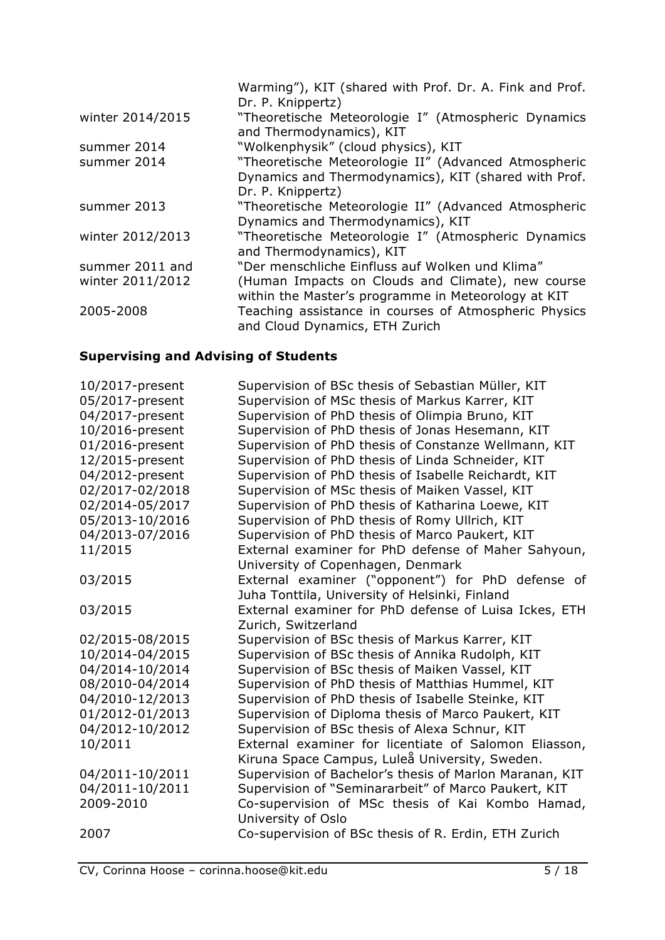|                  | Warming"), KIT (shared with Prof. Dr. A. Fink and Prof.<br>Dr. P. Knippertz)                                                      |
|------------------|-----------------------------------------------------------------------------------------------------------------------------------|
| winter 2014/2015 | "Theoretische Meteorologie I" (Atmospheric Dynamics<br>and Thermodynamics), KIT                                                   |
| summer 2014      | "Wolkenphysik" (cloud physics), KIT                                                                                               |
| summer 2014      | "Theoretische Meteorologie II" (Advanced Atmospheric<br>Dynamics and Thermodynamics), KIT (shared with Prof.<br>Dr. P. Knippertz) |
| summer 2013      | "Theoretische Meteorologie II" (Advanced Atmospheric<br>Dynamics and Thermodynamics), KIT                                         |
| winter 2012/2013 | "Theoretische Meteorologie I" (Atmospheric Dynamics<br>and Thermodynamics), KIT                                                   |
| summer 2011 and  | "Der menschliche Einfluss auf Wolken und Klima"                                                                                   |
| winter 2011/2012 | (Human Impacts on Clouds and Climate), new course<br>within the Master's programme in Meteorology at KIT                          |
| 2005-2008        | Teaching assistance in courses of Atmospheric Physics<br>and Cloud Dynamics, ETH Zurich                                           |

# **Supervising and Advising of Students**

| 10/2017-present | Supervision of BSc thesis of Sebastian Müller, KIT      |
|-----------------|---------------------------------------------------------|
| 05/2017-present | Supervision of MSc thesis of Markus Karrer, KIT         |
| 04/2017-present | Supervision of PhD thesis of Olimpia Bruno, KIT         |
| 10/2016-present | Supervision of PhD thesis of Jonas Hesemann, KIT        |
| 01/2016-present | Supervision of PhD thesis of Constanze Wellmann, KIT    |
| 12/2015-present | Supervision of PhD thesis of Linda Schneider, KIT       |
| 04/2012-present | Supervision of PhD thesis of Isabelle Reichardt, KIT    |
| 02/2017-02/2018 | Supervision of MSc thesis of Maiken Vassel, KIT         |
| 02/2014-05/2017 | Supervision of PhD thesis of Katharina Loewe, KIT       |
| 05/2013-10/2016 | Supervision of PhD thesis of Romy Ullrich, KIT          |
| 04/2013-07/2016 | Supervision of PhD thesis of Marco Paukert, KIT         |
| 11/2015         | External examiner for PhD defense of Maher Sahyoun,     |
|                 | University of Copenhagen, Denmark                       |
| 03/2015         | External examiner ("opponent") for PhD defense of       |
|                 | Juha Tonttila, University of Helsinki, Finland          |
| 03/2015         | External examiner for PhD defense of Luisa Ickes, ETH   |
|                 | Zurich, Switzerland                                     |
| 02/2015-08/2015 | Supervision of BSc thesis of Markus Karrer, KIT         |
| 10/2014-04/2015 | Supervision of BSc thesis of Annika Rudolph, KIT        |
| 04/2014-10/2014 | Supervision of BSc thesis of Maiken Vassel, KIT         |
| 08/2010-04/2014 | Supervision of PhD thesis of Matthias Hummel, KIT       |
| 04/2010-12/2013 | Supervision of PhD thesis of Isabelle Steinke, KIT      |
| 01/2012-01/2013 | Supervision of Diploma thesis of Marco Paukert, KIT     |
| 04/2012-10/2012 | Supervision of BSc thesis of Alexa Schnur, KIT          |
| 10/2011         | External examiner for licentiate of Salomon Eliasson,   |
|                 | Kiruna Space Campus, Luleå University, Sweden.          |
| 04/2011-10/2011 | Supervision of Bachelor's thesis of Marlon Maranan, KIT |
| 04/2011-10/2011 | Supervision of "Seminararbeit" of Marco Paukert, KIT    |
| 2009-2010       | Co-supervision of MSc thesis of Kai Kombo Hamad,        |
|                 | University of Oslo                                      |
| 2007            | Co-supervision of BSc thesis of R. Erdin, ETH Zurich    |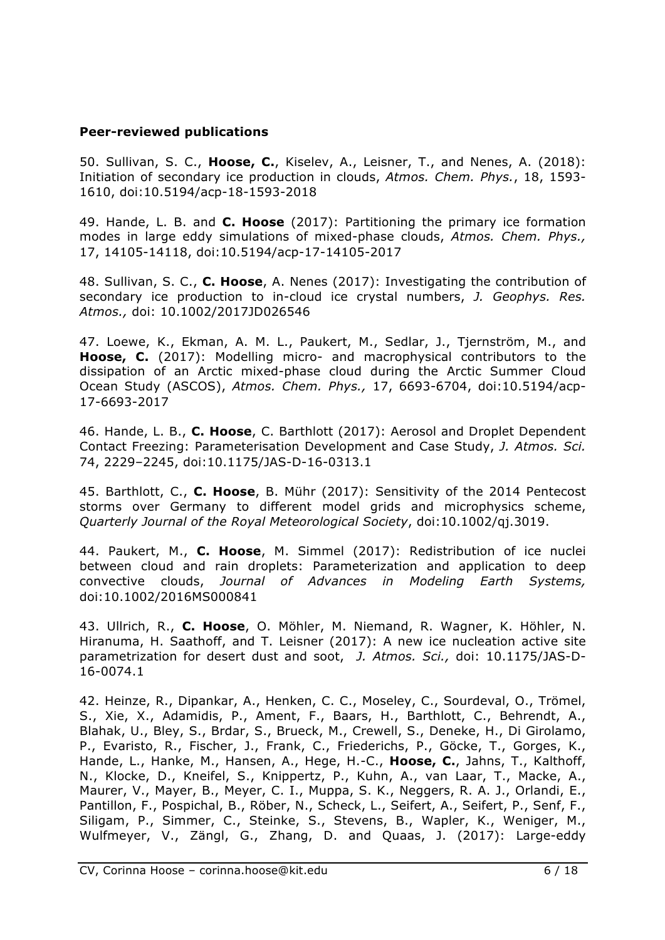### **Peer-reviewed publications**

50. Sullivan, S. C., **Hoose, C.**, Kiselev, A., Leisner, T., and Nenes, A. (2018): Initiation of secondary ice production in clouds, *Atmos. Chem. Phys.*, 18, 1593- 1610, doi:10.5194/acp-18-1593-2018

49. Hande, L. B. and **C. Hoose** (2017): Partitioning the primary ice formation modes in large eddy simulations of mixed-phase clouds, *Atmos. Chem. Phys.,* 17, 14105-14118, doi:10.5194/acp-17-14105-2017

48. Sullivan, S. C., **C. Hoose**, A. Nenes (2017): Investigating the contribution of secondary ice production to in-cloud ice crystal numbers, *J. Geophys. Res. Atmos.,* doi: 10.1002/2017JD026546

47. Loewe, K., Ekman, A. M. L., Paukert, M., Sedlar, J., Tjernström, M., and **Hoose, C.** (2017): Modelling micro- and macrophysical contributors to the dissipation of an Arctic mixed-phase cloud during the Arctic Summer Cloud Ocean Study (ASCOS), *Atmos. Chem. Phys.,* 17, 6693-6704, doi:10.5194/acp-17-6693-2017

46. Hande, L. B., **C. Hoose**, C. Barthlott (2017): Aerosol and Droplet Dependent Contact Freezing: Parameterisation Development and Case Study, *J. Atmos. Sci.* 74, 2229–2245, doi:10.1175/JAS-D-16-0313.1

45. Barthlott, C., **C. Hoose**, B. Mühr (2017): Sensitivity of the 2014 Pentecost storms over Germany to different model grids and microphysics scheme, *Quarterly Journal of the Royal Meteorological Society*, doi:10.1002/qj.3019.

44. Paukert, M., **C. Hoose**, M. Simmel (2017): Redistribution of ice nuclei between cloud and rain droplets: Parameterization and application to deep convective clouds, *Journal of Advances in Modeling Earth Systems,*  doi:10.1002/2016MS000841

43. Ullrich, R., **C. Hoose**, O. Möhler, M. Niemand, R. Wagner, K. Höhler, N. Hiranuma, H. Saathoff, and T. Leisner (2017): A new ice nucleation active site parametrization for desert dust and soot, *J. Atmos. Sci.,* doi: 10.1175/JAS-D-16-0074.1

42. Heinze, R., Dipankar, A., Henken, C. C., Moseley, C., Sourdeval, O., Trömel, S., Xie, X., Adamidis, P., Ament, F., Baars, H., Barthlott, C., Behrendt, A., Blahak, U., Bley, S., Brdar, S., Brueck, M., Crewell, S., Deneke, H., Di Girolamo, P., Evaristo, R., Fischer, J., Frank, C., Friederichs, P., Göcke, T., Gorges, K., Hande, L., Hanke, M., Hansen, A., Hege, H.-C., **Hoose, C.**, Jahns, T., Kalthoff, N., Klocke, D., Kneifel, S., Knippertz, P., Kuhn, A., van Laar, T., Macke, A., Maurer, V., Mayer, B., Meyer, C. I., Muppa, S. K., Neggers, R. A. J., Orlandi, E., Pantillon, F., Pospichal, B., Röber, N., Scheck, L., Seifert, A., Seifert, P., Senf, F., Siligam, P., Simmer, C., Steinke, S., Stevens, B., Wapler, K., Weniger, M., Wulfmeyer, V., Zängl, G., Zhang, D. and Quaas, J. (2017): Large-eddy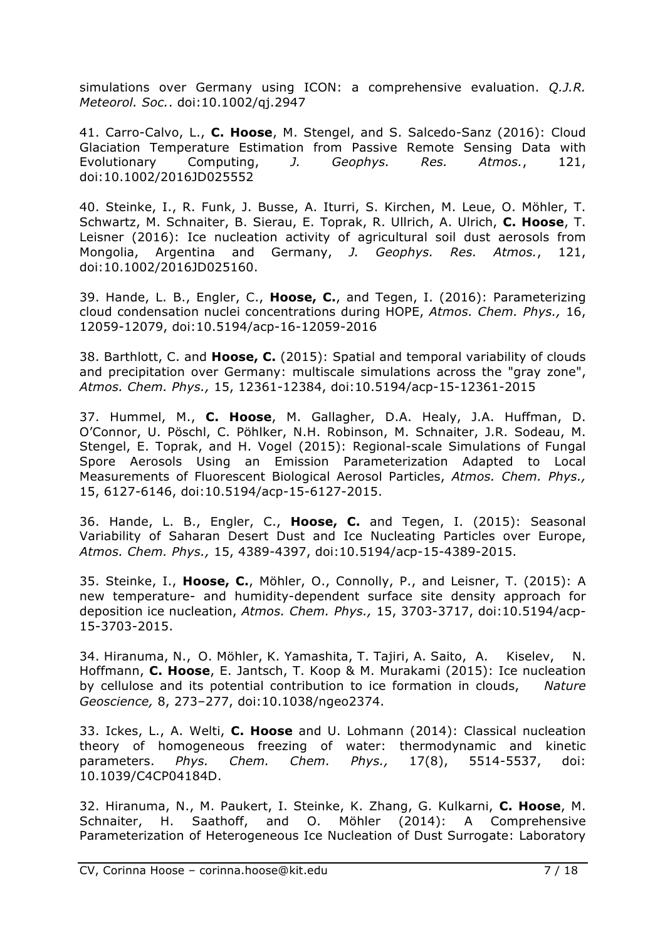simulations over Germany using ICON: a comprehensive evaluation. *Q.J.R. Meteorol. Soc.*. doi:10.1002/qj.2947

41. Carro-Calvo, L., **C. Hoose**, M. Stengel, and S. Salcedo-Sanz (2016): Cloud Glaciation Temperature Estimation from Passive Remote Sensing Data with Evolutionary Computing, *J. Geophys. Res. Atmos.*, 121, doi:10.1002/2016JD025552

40. Steinke, I., R. Funk, J. Busse, A. Iturri, S. Kirchen, M. Leue, O. Möhler, T. Schwartz, M. Schnaiter, B. Sierau, E. Toprak, R. Ullrich, A. Ulrich, **C. Hoose**, T. Leisner (2016): Ice nucleation activity of agricultural soil dust aerosols from Mongolia, Argentina and Germany, *J. Geophys. Res. Atmos.*, 121, doi:10.1002/2016JD025160.

39. Hande, L. B., Engler, C., **Hoose, C.**, and Tegen, I. (2016): Parameterizing cloud condensation nuclei concentrations during HOPE, *Atmos. Chem. Phys.,* 16, 12059-12079, doi:10.5194/acp-16-12059-2016

38. Barthlott, C. and **Hoose, C.** (2015): Spatial and temporal variability of clouds and precipitation over Germany: multiscale simulations across the "gray zone", *Atmos. Chem. Phys.,* 15, 12361-12384, doi:10.5194/acp-15-12361-2015

37. Hummel, M., **C. Hoose**, M. Gallagher, D.A. Healy, J.A. Huffman, D. O'Connor, U. Pöschl, C. Pöhlker, N.H. Robinson, M. Schnaiter, J.R. Sodeau, M. Stengel, E. Toprak, and H. Vogel (2015): Regional-scale Simulations of Fungal Spore Aerosols Using an Emission Parameterization Adapted to Local Measurements of Fluorescent Biological Aerosol Particles, *Atmos. Chem. Phys.,* 15, 6127-6146, doi:10.5194/acp-15-6127-2015.

36. Hande, L. B., Engler, C., **Hoose, C.** and Tegen, I. (2015): Seasonal Variability of Saharan Desert Dust and Ice Nucleating Particles over Europe, *Atmos. Chem. Phys.,* 15, 4389-4397, doi:10.5194/acp-15-4389-2015.

35. Steinke, I., **Hoose, C.**, Möhler, O., Connolly, P., and Leisner, T. (2015): A new temperature- and humidity-dependent surface site density approach for deposition ice nucleation, *Atmos. Chem. Phys.,* 15, 3703-3717, doi:10.5194/acp-15-3703-2015.

34. Hiranuma, N., O. Möhler, K. Yamashita, T. Tajiri, A. Saito, A. Kiselev, N. Hoffmann, **C. Hoose**, E. Jantsch, T. Koop & M. Murakami (2015): Ice nucleation by cellulose and its potential contribution to ice formation in clouds, *Nature Geoscience,* 8, 273–277, doi:10.1038/ngeo2374.

33. Ickes, L., A. Welti, **C. Hoose** and U. Lohmann (2014): Classical nucleation theory of homogeneous freezing of water: thermodynamic and kinetic parameters. *Phys. Chem. Chem. Phys.,* 17(8), 5514-5537, doi: 10.1039/C4CP04184D.

32. Hiranuma, N., M. Paukert, I. Steinke, K. Zhang, G. Kulkarni, **C. Hoose**, M. Schnaiter, H. Saathoff, and O. Möhler (2014): A Comprehensive Parameterization of Heterogeneous Ice Nucleation of Dust Surrogate: Laboratory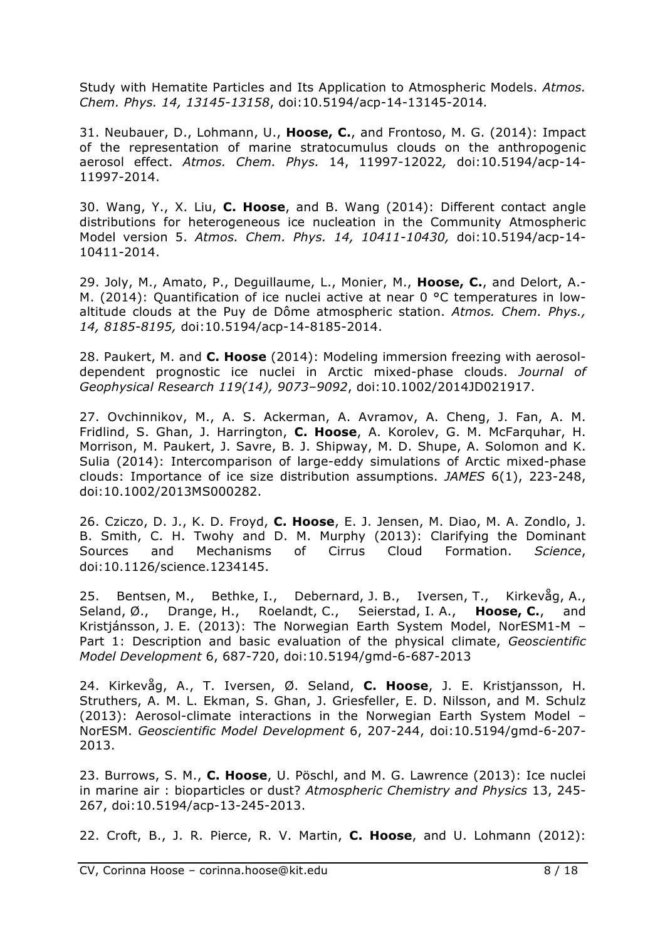Study with Hematite Particles and Its Application to Atmospheric Models. *Atmos. Chem. Phys. 14, 13145-13158*, doi:10.5194/acp-14-13145-2014*.*

31. Neubauer, D., Lohmann, U., **Hoose, C.**, and Frontoso, M. G. (2014): Impact of the representation of marine stratocumulus clouds on the anthropogenic aerosol effect. *Atmos. Chem. Phys.* 14, 11997-12022*,* doi:10.5194/acp-14- 11997-2014.

30. Wang, Y., X. Liu, **C. Hoose**, and B. Wang (2014): Different contact angle distributions for heterogeneous ice nucleation in the Community Atmospheric Model version 5. *Atmos. Chem. Phys. 14, 10411-10430,* doi:10.5194/acp-14- 10411-2014.

29. Joly, M., Amato, P., Deguillaume, L., Monier, M., **Hoose, C.**, and Delort, A.- M. (2014): Quantification of ice nuclei active at near 0 °C temperatures in lowaltitude clouds at the Puy de Dôme atmospheric station. *Atmos. Chem. Phys., 14, 8185-8195,* doi:10.5194/acp-14-8185-2014.

28. Paukert, M. and **C. Hoose** (2014): Modeling immersion freezing with aerosoldependent prognostic ice nuclei in Arctic mixed-phase clouds. *Journal of Geophysical Research 119(14), 9073–9092*, doi:10.1002/2014JD021917.

27. Ovchinnikov, M., A. S. Ackerman, A. Avramov, A. Cheng, J. Fan, A. M. Fridlind, S. Ghan, J. Harrington, **C. Hoose**, A. Korolev, G. M. McFarquhar, H. Morrison, M. Paukert, J. Savre, B. J. Shipway, M. D. Shupe, A. Solomon and K. Sulia (2014): Intercomparison of large-eddy simulations of Arctic mixed-phase clouds: Importance of ice size distribution assumptions. *JAMES* 6(1), 223-248, doi:10.1002/2013MS000282.

26. Cziczo, D. J., K. D. Froyd, **C. Hoose**, E. J. Jensen, M. Diao, M. A. Zondlo, J. B. Smith, C. H. Twohy and D. M. Murphy (2013): Clarifying the Dominant Sources and Mechanisms of Cirrus Cloud Formation. *Science*, doi:10.1126/science.1234145.

25. Bentsen, M., Bethke, I., Debernard, J. B., Iversen, T., Kirkevåg, A., Seland, Ø., Drange, H., Roelandt, C., Seierstad, I. A., **Hoose, C.**, and Kristjánsson, J. E. (2013): The Norwegian Earth System Model, NorESM1-M – Part 1: Description and basic evaluation of the physical climate, *Geoscientific Model Development* 6, 687-720, doi:10.5194/gmd-6-687-2013

24. Kirkevåg, A., T. Iversen, Ø. Seland, **C. Hoose**, J. E. Kristjansson, H. Struthers, A. M. L. Ekman, S. Ghan, J. Griesfeller, E. D. Nilsson, and M. Schulz (2013): Aerosol-climate interactions in the Norwegian Earth System Model – NorESM. *Geoscientific Model Development* 6, 207-244, doi:10.5194/gmd-6-207- 2013.

23. Burrows, S. M., **C. Hoose**, U. Pöschl, and M. G. Lawrence (2013): Ice nuclei in marine air : bioparticles or dust? *Atmospheric Chemistry and Physics* 13, 245- 267, doi:10.5194/acp-13-245-2013.

22. Croft, B., J. R. Pierce, R. V. Martin, **C. Hoose**, and U. Lohmann (2012):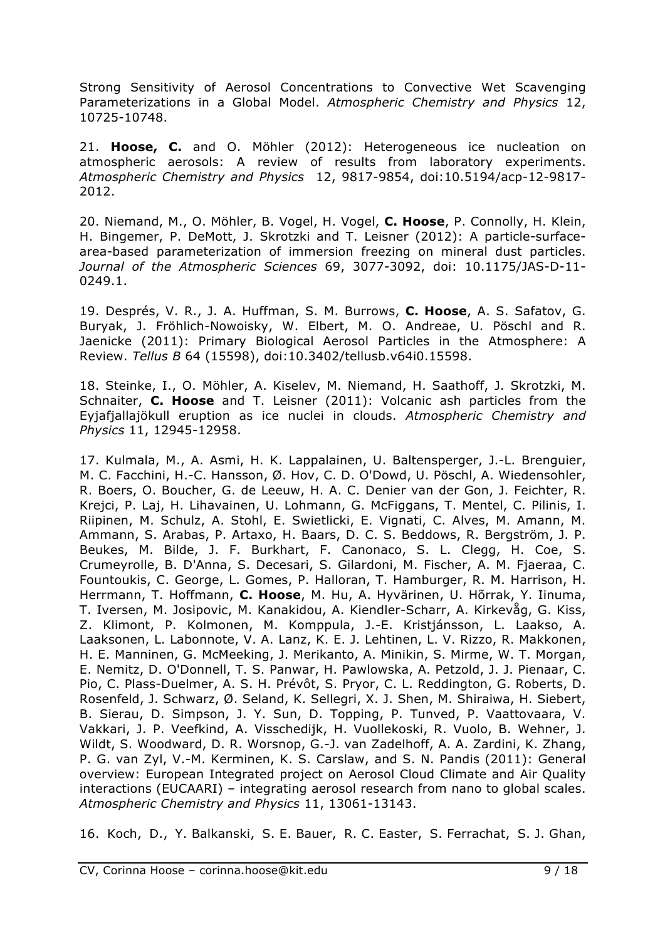Strong Sensitivity of Aerosol Concentrations to Convective Wet Scavenging Parameterizations in a Global Model. *Atmospheric Chemistry and Physics* 12, 10725-10748.

21. **Hoose, C.** and O. Möhler (2012): Heterogeneous ice nucleation on atmospheric aerosols: A review of results from laboratory experiments. *Atmospheric Chemistry and Physics* 12, 9817-9854, doi:10.5194/acp-12-9817- 2012.

20. Niemand, M., O. Möhler, B. Vogel, H. Vogel, **C. Hoose**, P. Connolly, H. Klein, H. Bingemer, P. DeMott, J. Skrotzki and T. Leisner (2012): A particle-surfacearea-based parameterization of immersion freezing on mineral dust particles. *Journal of the Atmospheric Sciences* 69, 3077-3092, doi: 10.1175/JAS-D-11- 0249.1.

19. Després, V. R., J. A. Huffman, S. M. Burrows, **C. Hoose**, A. S. Safatov, G. Buryak, J. Fröhlich-Nowoisky, W. Elbert, M. O. Andreae, U. Pöschl and R. Jaenicke (2011): Primary Biological Aerosol Particles in the Atmosphere: A Review. *Tellus B* 64 (15598), doi:10.3402/tellusb.v64i0.15598.

18. Steinke, I., O. Möhler, A. Kiselev, M. Niemand, H. Saathoff, J. Skrotzki, M. Schnaiter, **C. Hoose** and T. Leisner (2011): Volcanic ash particles from the Eyjafjallajökull eruption as ice nuclei in clouds. *Atmospheric Chemistry and Physics* 11, 12945-12958.

17. Kulmala, M., A. Asmi, H. K. Lappalainen, U. Baltensperger, J.-L. Brenguier, M. C. Facchini, H.-C. Hansson, Ø. Hov, C. D. O'Dowd, U. Pöschl, A. Wiedensohler, R. Boers, O. Boucher, G. de Leeuw, H. A. C. Denier van der Gon, J. Feichter, R. Krejci, P. Laj, H. Lihavainen, U. Lohmann, G. McFiggans, T. Mentel, C. Pilinis, I. Riipinen, M. Schulz, A. Stohl, E. Swietlicki, E. Vignati, C. Alves, M. Amann, M. Ammann, S. Arabas, P. Artaxo, H. Baars, D. C. S. Beddows, R. Bergström, J. P. Beukes, M. Bilde, J. F. Burkhart, F. Canonaco, S. L. Clegg, H. Coe, S. Crumeyrolle, B. D'Anna, S. Decesari, S. Gilardoni, M. Fischer, A. M. Fjaeraa, C. Fountoukis, C. George, L. Gomes, P. Halloran, T. Hamburger, R. M. Harrison, H. Herrmann, T. Hoffmann, **C. Hoose**, M. Hu, A. Hyvärinen, U. Hõrrak, Y. Iinuma, T. Iversen, M. Josipovic, M. Kanakidou, A. Kiendler-Scharr, A. Kirkevåg, G. Kiss, Z. Klimont, P. Kolmonen, M. Komppula, J.-E. Kristjánsson, L. Laakso, A. Laaksonen, L. Labonnote, V. A. Lanz, K. E. J. Lehtinen, L. V. Rizzo, R. Makkonen, H. E. Manninen, G. McMeeking, J. Merikanto, A. Minikin, S. Mirme, W. T. Morgan, E. Nemitz, D. O'Donnell, T. S. Panwar, H. Pawlowska, A. Petzold, J. J. Pienaar, C. Pio, C. Plass-Duelmer, A. S. H. Prévôt, S. Pryor, C. L. Reddington, G. Roberts, D. Rosenfeld, J. Schwarz, Ø. Seland, K. Sellegri, X. J. Shen, M. Shiraiwa, H. Siebert, B. Sierau, D. Simpson, J. Y. Sun, D. Topping, P. Tunved, P. Vaattovaara, V. Vakkari, J. P. Veefkind, A. Visschedijk, H. Vuollekoski, R. Vuolo, B. Wehner, J. Wildt, S. Woodward, D. R. Worsnop, G.-J. van Zadelhoff, A. A. Zardini, K. Zhang, P. G. van Zyl, V.-M. Kerminen, K. S. Carslaw, and S. N. Pandis (2011): General overview: European Integrated project on Aerosol Cloud Climate and Air Quality interactions (EUCAARI) – integrating aerosol research from nano to global scales. *Atmospheric Chemistry and Physics* 11, 13061-13143.

16. Koch, D., Y. Balkanski, S. E. Bauer, R. C. Easter, S. Ferrachat, S. J. Ghan,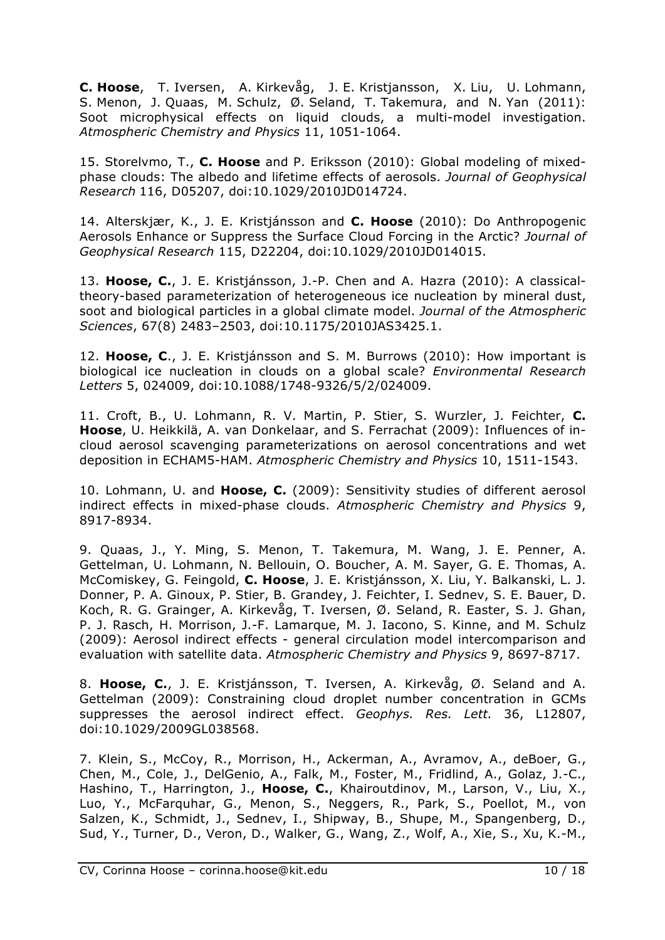**C. Hoose**, T. Iversen, A. Kirkevåg, J. E. Kristjansson, X. Liu, U. Lohmann, S. Menon, J. Quaas, M. Schulz, Ø. Seland, T. Takemura, and N. Yan (2011): Soot microphysical effects on liquid clouds, a multi-model investigation. *Atmospheric Chemistry and Physics* 11, 1051-1064.

15. Storelvmo, T., **C. Hoose** and P. Eriksson (2010): Global modeling of mixedphase clouds: The albedo and lifetime effects of aerosols. *Journal of Geophysical Research* 116, D05207, doi:10.1029/2010JD014724.

14. Alterskjær, K., J. E. Kristjánsson and **C. Hoose** (2010): Do Anthropogenic Aerosols Enhance or Suppress the Surface Cloud Forcing in the Arctic? *Journal of Geophysical Research* 115, D22204, doi:10.1029/2010JD014015.

13. **Hoose, C.**, J. E. Kristjánsson, J.-P. Chen and A. Hazra (2010): A classicaltheory-based parameterization of heterogeneous ice nucleation by mineral dust, soot and biological particles in a global climate model. *Journal of the Atmospheric Sciences*, 67(8) 2483–2503, doi:10.1175/2010JAS3425.1.

12. **Hoose, C**., J. E. Kristjánsson and S. M. Burrows (2010): How important is biological ice nucleation in clouds on a global scale? *Environmental Research Letters* 5, 024009, doi:10.1088/1748-9326/5/2/024009.

11. Croft, B., U. Lohmann, R. V. Martin, P. Stier, S. Wurzler, J. Feichter, **C. Hoose**, U. Heikkilä, A. van Donkelaar, and S. Ferrachat (2009): Influences of incloud aerosol scavenging parameterizations on aerosol concentrations and wet deposition in ECHAM5-HAM. *Atmospheric Chemistry and Physics* 10, 1511-1543.

10. Lohmann, U. and **Hoose, C.** (2009): Sensitivity studies of different aerosol indirect effects in mixed-phase clouds. *Atmospheric Chemistry and Physics* 9, 8917-8934.

9. Quaas, J., Y. Ming, S. Menon, T. Takemura, M. Wang, J. E. Penner, A. Gettelman, U. Lohmann, N. Bellouin, O. Boucher, A. M. Sayer, G. E. Thomas, A. McComiskey, G. Feingold, **C. Hoose**, J. E. Kristjánsson, X. Liu, Y. Balkanski, L. J. Donner, P. A. Ginoux, P. Stier, B. Grandey, J. Feichter, I. Sednev, S. E. Bauer, D. Koch, R. G. Grainger, A. Kirkevåg, T. Iversen, Ø. Seland, R. Easter, S. J. Ghan, P. J. Rasch, H. Morrison, J.-F. Lamarque, M. J. Iacono, S. Kinne, and M. Schulz (2009): Aerosol indirect effects - general circulation model intercomparison and evaluation with satellite data. *Atmospheric Chemistry and Physics* 9, 8697-8717.

8. **Hoose, C.**, J. E. Kristjánsson, T. Iversen, A. Kirkevåg, Ø. Seland and A. Gettelman (2009): Constraining cloud droplet number concentration in GCMs suppresses the aerosol indirect effect. *Geophys. Res. Lett.* 36, L12807, doi:10.1029/2009GL038568.

7. Klein, S., McCoy, R., Morrison, H., Ackerman, A., Avramov, A., deBoer, G., Chen, M., Cole, J., DelGenio, A., Falk, M., Foster, M., Fridlind, A., Golaz, J.-C., Hashino, T., Harrington, J., **Hoose, C.**, Khairoutdinov, M., Larson, V., Liu, X., Luo, Y., McFarquhar, G., Menon, S., Neggers, R., Park, S., Poellot, M., von Salzen, K., Schmidt, J., Sednev, I., Shipway, B., Shupe, M., Spangenberg, D., Sud, Y., Turner, D., Veron, D., Walker, G., Wang, Z., Wolf, A., Xie, S., Xu, K.-M.,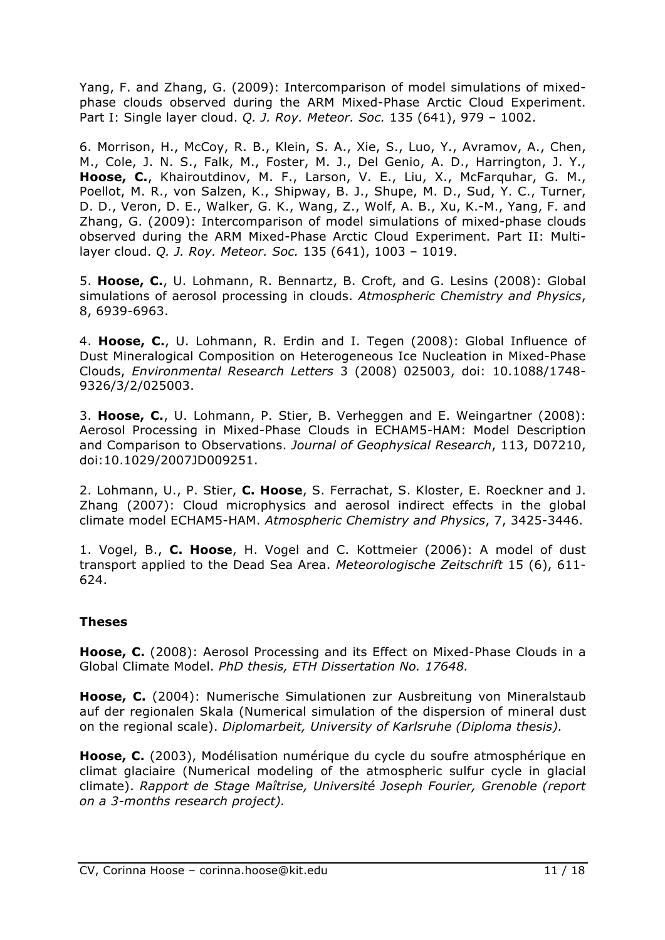Yang, F. and Zhang, G. (2009): Intercomparison of model simulations of mixedphase clouds observed during the ARM Mixed-Phase Arctic Cloud Experiment. Part I: Single layer cloud. *Q. J. Roy. Meteor. Soc.* 135 (641), 979 – 1002.

6. Morrison, H., McCoy, R. B., Klein, S. A., Xie, S., Luo, Y., Avramov, A., Chen, M., Cole, J. N. S., Falk, M., Foster, M. J., Del Genio, A. D., Harrington, J. Y., **Hoose, C.**, Khairoutdinov, M. F., Larson, V. E., Liu, X., McFarquhar, G. M., Poellot, M. R., von Salzen, K., Shipway, B. J., Shupe, M. D., Sud, Y. C., Turner, D. D., Veron, D. E., Walker, G. K., Wang, Z., Wolf, A. B., Xu, K.-M., Yang, F. and Zhang, G. (2009): Intercomparison of model simulations of mixed-phase clouds observed during the ARM Mixed-Phase Arctic Cloud Experiment. Part II: Multilayer cloud. *Q. J. Roy. Meteor. Soc.* 135 (641), 1003 – 1019.

5. **Hoose, C.**, U. Lohmann, R. Bennartz, B. Croft, and G. Lesins (2008): Global simulations of aerosol processing in clouds. *Atmospheric Chemistry and Physics*, 8, 6939-6963.

4. **Hoose, C.**, U. Lohmann, R. Erdin and I. Tegen (2008): Global Influence of Dust Mineralogical Composition on Heterogeneous Ice Nucleation in Mixed-Phase Clouds, *Environmental Research Letters* 3 (2008) 025003, doi: 10.1088/1748- 9326/3/2/025003.

3. **Hoose, C.**, U. Lohmann, P. Stier, B. Verheggen and E. Weingartner (2008): Aerosol Processing in Mixed-Phase Clouds in ECHAM5-HAM: Model Description and Comparison to Observations. *Journal of Geophysical Research*, 113, D07210, doi:10.1029/2007JD009251.

2. Lohmann, U., P. Stier, **C. Hoose**, S. Ferrachat, S. Kloster, E. Roeckner and J. Zhang (2007): Cloud microphysics and aerosol indirect effects in the global climate model ECHAM5-HAM. *Atmospheric Chemistry and Physics*, 7, 3425-3446.

1. Vogel, B., **C. Hoose**, H. Vogel and C. Kottmeier (2006): A model of dust transport applied to the Dead Sea Area. *Meteorologische Zeitschrift* 15 (6), 611- 624.

# **Theses**

**Hoose, C.** (2008): Aerosol Processing and its Effect on Mixed-Phase Clouds in a Global Climate Model. *PhD thesis, ETH Dissertation No. 17648.*

**Hoose, C.** (2004): Numerische Simulationen zur Ausbreitung von Mineralstaub auf der regionalen Skala (Numerical simulation of the dispersion of mineral dust on the regional scale). *Diplomarbeit, University of Karlsruhe (Diploma thesis).*

**Hoose, C.** (2003), Modélisation numérique du cycle du soufre atmosphérique en climat glaciaire (Numerical modeling of the atmospheric sulfur cycle in glacial climate). *Rapport de Stage Maîtrise, Université Joseph Fourier, Grenoble (report on a 3-months research project).*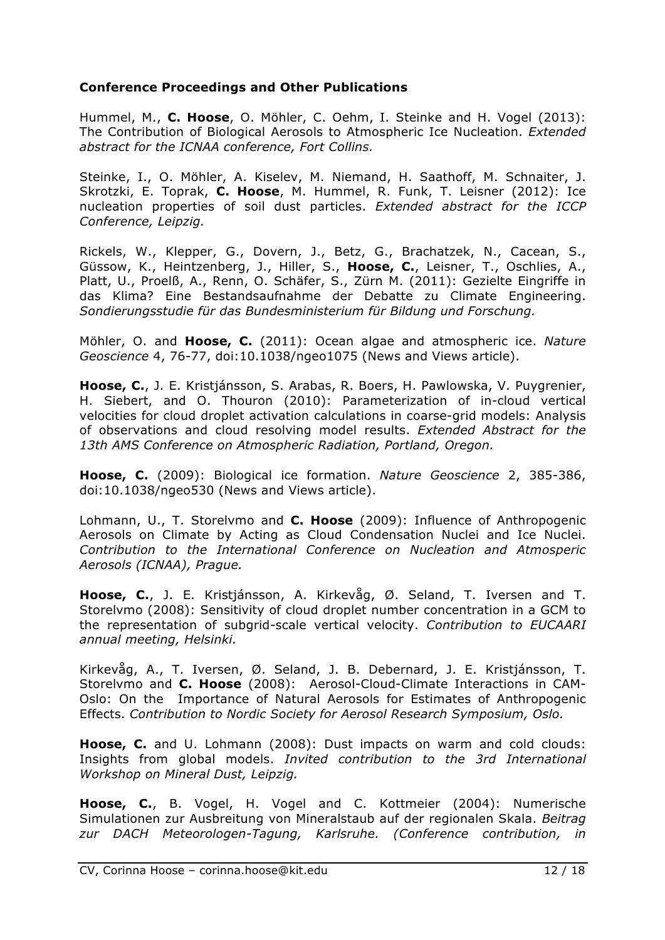## **Conference Proceedings and Other Publications**

Hummel, M., **C. Hoose**, O. Möhler, C. Oehm, I. Steinke and H. Vogel (2013): The Contribution of Biological Aerosols to Atmospheric Ice Nucleation. *Extended abstract for the ICNAA conference, Fort Collins.*

Steinke, I., O. Möhler, A. Kiselev, M. Niemand, H. Saathoff, M. Schnaiter, J. Skrotzki, E. Toprak, **C. Hoose**, M. Hummel, R. Funk, T. Leisner (2012): Ice nucleation properties of soil dust particles. *Extended abstract for the ICCP Conference, Leipzig.*

Rickels, W., Klepper, G., Dovern, J., Betz, G., Brachatzek, N., Cacean, S., Güssow, K., Heintzenberg, J., Hiller, S., **Hoose, C.**, Leisner, T., Oschlies, A., Platt, U., Proelß, A., Renn, O. Schäfer, S., Zürn M. (2011): Gezielte Eingriffe in das Klima? Eine Bestandsaufnahme der Debatte zu Climate Engineering. *Sondierungsstudie für das Bundesministerium für Bildung und Forschung.* 

Möhler, O. and **Hoose, C.** (2011): Ocean algae and atmospheric ice. *Nature Geoscience* 4, 76-77, doi:10.1038/ngeo1075 (News and Views article).

**Hoose, C.**, J. E. Kristjánsson, S. Arabas, R. Boers, H. Pawlowska, V. Puygrenier, H. Siebert, and O. Thouron (2010): Parameterization of in-cloud vertical velocities for cloud droplet activation calculations in coarse-grid models: Analysis of observations and cloud resolving model results. *Extended Abstract for the 13th AMS Conference on Atmospheric Radiation, Portland, Oregon.*

**Hoose, C.** (2009): Biological ice formation. *Nature Geoscience* 2, 385-386, doi:10.1038/ngeo530 (News and Views article).

Lohmann, U., T. Storelvmo and **C. Hoose** (2009): Influence of Anthropogenic Aerosols on Climate by Acting as Cloud Condensation Nuclei and Ice Nuclei. *Contribution to the International Conference on Nucleation and Atmosperic Aerosols (ICNAA), Prague.*

**Hoose, C.**, J. E. Kristjánsson, A. Kirkevåg, Ø. Seland, T. Iversen and T. Storelvmo (2008): Sensitivity of cloud droplet number concentration in a GCM to the representation of subgrid-scale vertical velocity. *Contribution to EUCAARI annual meeting, Helsinki.*

Kirkevåg, A., T. Iversen, Ø. Seland, J. B. Debernard, J. E. Kristjánsson, T. Storelvmo and **C. Hoose** (2008): Aerosol-Cloud-Climate Interactions in CAM-Oslo: On the Importance of Natural Aerosols for Estimates of Anthropogenic Effects. *Contribution to Nordic Society for Aerosol Research Symposium, Oslo.*

**Hoose, C.** and U. Lohmann (2008): Dust impacts on warm and cold clouds: Insights from global models. *Invited contribution to the 3rd International Workshop on Mineral Dust, Leipzig.*

**Hoose, C.**, B. Vogel, H. Vogel and C. Kottmeier (2004): Numerische Simulationen zur Ausbreitung von Mineralstaub auf der regionalen Skala. *Beitrag zur DACH Meteorologen-Tagung, Karlsruhe. (Conference contribution, in*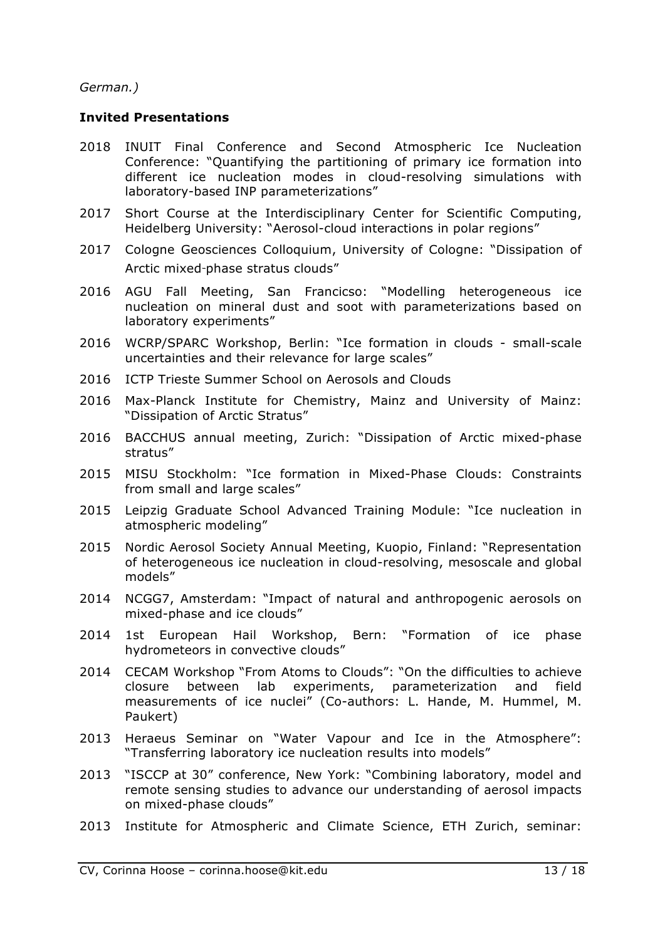### *German.)*

### **Invited Presentations**

- 2018 INUIT Final Conference and Second Atmospheric Ice Nucleation Conference: "Quantifying the partitioning of primary ice formation into different ice nucleation modes in cloud-resolving simulations with laboratory-based INP parameterizations"
- 2017 Short Course at the Interdisciplinary Center for Scientific Computing, Heidelberg University: "Aerosol-cloud interactions in polar regions"
- 2017 Cologne Geosciences Colloquium, University of Cologne: "Dissipation of Arctic mixed-phase stratus clouds"
- 2016 AGU Fall Meeting, San Francicso: "Modelling heterogeneous ice nucleation on mineral dust and soot with parameterizations based on laboratory experiments"
- 2016 WCRP/SPARC Workshop, Berlin: "Ice formation in clouds small-scale uncertainties and their relevance for large scales"
- 2016 ICTP Trieste Summer School on Aerosols and Clouds
- 2016 Max-Planck Institute for Chemistry, Mainz and University of Mainz: "Dissipation of Arctic Stratus"
- 2016 BACCHUS annual meeting, Zurich: "Dissipation of Arctic mixed-phase stratus"
- 2015 MISU Stockholm: "Ice formation in Mixed-Phase Clouds: Constraints from small and large scales"
- 2015 Leipzig Graduate School Advanced Training Module: "Ice nucleation in atmospheric modeling"
- 2015 Nordic Aerosol Society Annual Meeting, Kuopio, Finland: "Representation of heterogeneous ice nucleation in cloud-resolving, mesoscale and global models"
- 2014 NCGG7, Amsterdam: "Impact of natural and anthropogenic aerosols on mixed-phase and ice clouds"
- 2014 1st European Hail Workshop, Bern: "Formation of ice phase hydrometeors in convective clouds"
- 2014 CECAM Workshop "From Atoms to Clouds": "On the difficulties to achieve closure between lab experiments, parameterization and field measurements of ice nuclei" (Co-authors: L. Hande, M. Hummel, M. Paukert)
- 2013 Heraeus Seminar on "Water Vapour and Ice in the Atmosphere": "Transferring laboratory ice nucleation results into models"
- 2013 "ISCCP at 30" conference, New York: "Combining laboratory, model and remote sensing studies to advance our understanding of aerosol impacts on mixed-phase clouds"
- 2013 Institute for Atmospheric and Climate Science, ETH Zurich, seminar: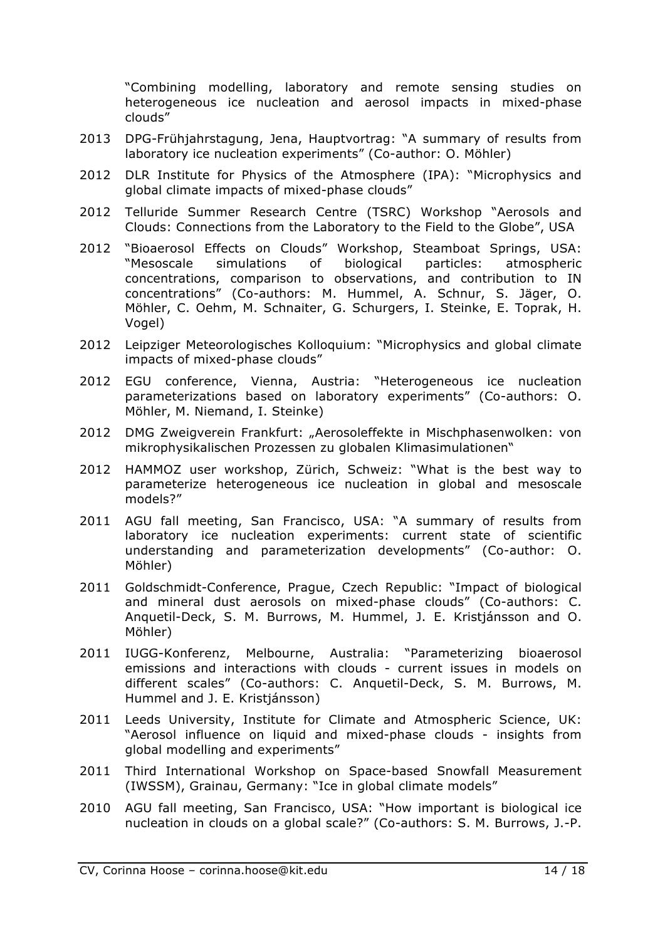"Combining modelling, laboratory and remote sensing studies on heterogeneous ice nucleation and aerosol impacts in mixed-phase clouds"

- 2013 DPG-Frühjahrstagung, Jena, Hauptvortrag: "A summary of results from laboratory ice nucleation experiments" (Co-author: O. Möhler)
- 2012 DLR Institute for Physics of the Atmosphere (IPA): "Microphysics and global climate impacts of mixed-phase clouds"
- 2012 Telluride Summer Research Centre (TSRC) Workshop "Aerosols and Clouds: Connections from the Laboratory to the Field to the Globe", USA
- 2012 "Bioaerosol Effects on Clouds" Workshop, Steamboat Springs, USA: "Mesoscale simulations of biological particles: atmospheric concentrations, comparison to observations, and contribution to IN concentrations" (Co-authors: M. Hummel, A. Schnur, S. Jäger, O. Möhler, C. Oehm, M. Schnaiter, G. Schurgers, I. Steinke, E. Toprak, H. Vogel)
- 2012 Leipziger Meteorologisches Kolloquium: "Microphysics and global climate impacts of mixed-phase clouds"
- 2012 EGU conference, Vienna, Austria: "Heterogeneous ice nucleation parameterizations based on laboratory experiments" (Co-authors: O. Möhler, M. Niemand, I. Steinke)
- 2012 DMG Zweigverein Frankfurt: "Aerosoleffekte in Mischphasenwolken: von mikrophysikalischen Prozessen zu globalen Klimasimulationen"
- 2012 HAMMOZ user workshop, Zürich, Schweiz: "What is the best way to parameterize heterogeneous ice nucleation in global and mesoscale models?"
- 2011 AGU fall meeting, San Francisco, USA: "A summary of results from laboratory ice nucleation experiments: current state of scientific understanding and parameterization developments" (Co-author: O. Möhler)
- 2011 Goldschmidt-Conference, Prague, Czech Republic: "Impact of biological and mineral dust aerosols on mixed-phase clouds" (Co-authors: C. Anquetil-Deck, S. M. Burrows, M. Hummel, J. E. Kristjánsson and O. Möhler)
- 2011 IUGG-Konferenz, Melbourne, Australia: "Parameterizing bioaerosol emissions and interactions with clouds - current issues in models on different scales" (Co-authors: C. Anquetil-Deck, S. M. Burrows, M. Hummel and J. E. Kristjánsson)
- 2011 Leeds University, Institute for Climate and Atmospheric Science, UK: "Aerosol influence on liquid and mixed-phase clouds - insights from global modelling and experiments"
- 2011 Third International Workshop on Space-based Snowfall Measurement (IWSSM), Grainau, Germany: "Ice in global climate models"
- 2010 AGU fall meeting, San Francisco, USA: "How important is biological ice nucleation in clouds on a global scale?" (Co-authors: S. M. Burrows, J.-P.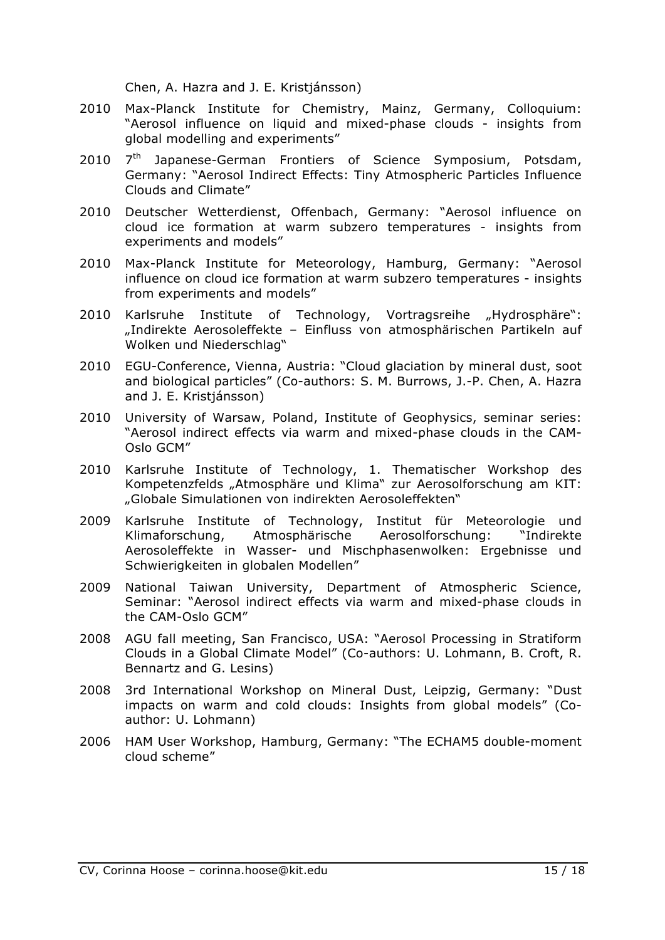Chen, A. Hazra and J. E. Kristjánsson)

- 2010 Max-Planck Institute for Chemistry, Mainz, Germany, Colloquium: "Aerosol influence on liquid and mixed-phase clouds - insights from global modelling and experiments"
- 2010  $7<sup>th</sup>$  Japanese-German Frontiers of Science Symposium, Potsdam, Germany: "Aerosol Indirect Effects: Tiny Atmospheric Particles Influence Clouds and Climate"
- 2010 Deutscher Wetterdienst, Offenbach, Germany: "Aerosol influence on cloud ice formation at warm subzero temperatures - insights from experiments and models"
- 2010 Max-Planck Institute for Meteorology, Hamburg, Germany: "Aerosol influence on cloud ice formation at warm subzero temperatures - insights from experiments and models"
- 2010 Karlsruhe Institute of Technology, Vortragsreihe "Hydrosphäre": "Indirekte Aerosoleffekte – Einfluss von atmosphärischen Partikeln auf Wolken und Niederschlag"
- 2010 EGU-Conference, Vienna, Austria: "Cloud glaciation by mineral dust, soot and biological particles" (Co-authors: S. M. Burrows, J.-P. Chen, A. Hazra and J. E. Kristjánsson)
- 2010 University of Warsaw, Poland, Institute of Geophysics, seminar series: "Aerosol indirect effects via warm and mixed-phase clouds in the CAM-Oslo GCM"
- 2010 Karlsruhe Institute of Technology, 1. Thematischer Workshop des Kompetenzfelds "Atmosphäre und Klima" zur Aerosolforschung am KIT: "Globale Simulationen von indirekten Aerosoleffekten"
- 2009 Karlsruhe Institute of Technology, Institut für Meteorologie und Klimaforschung, Atmosphärische Aerosolforschung: "Indirekte Aerosoleffekte in Wasser- und Mischphasenwolken: Ergebnisse und Schwierigkeiten in globalen Modellen"
- 2009 National Taiwan University, Department of Atmospheric Science, Seminar: "Aerosol indirect effects via warm and mixed-phase clouds in the CAM-Oslo GCM"
- 2008 AGU fall meeting, San Francisco, USA: "Aerosol Processing in Stratiform Clouds in a Global Climate Model" (Co-authors: U. Lohmann, B. Croft, R. Bennartz and G. Lesins)
- 2008 3rd International Workshop on Mineral Dust, Leipzig, Germany: "Dust impacts on warm and cold clouds: Insights from global models" (Coauthor: U. Lohmann)
- 2006 HAM User Workshop, Hamburg, Germany: "The ECHAM5 double-moment cloud scheme"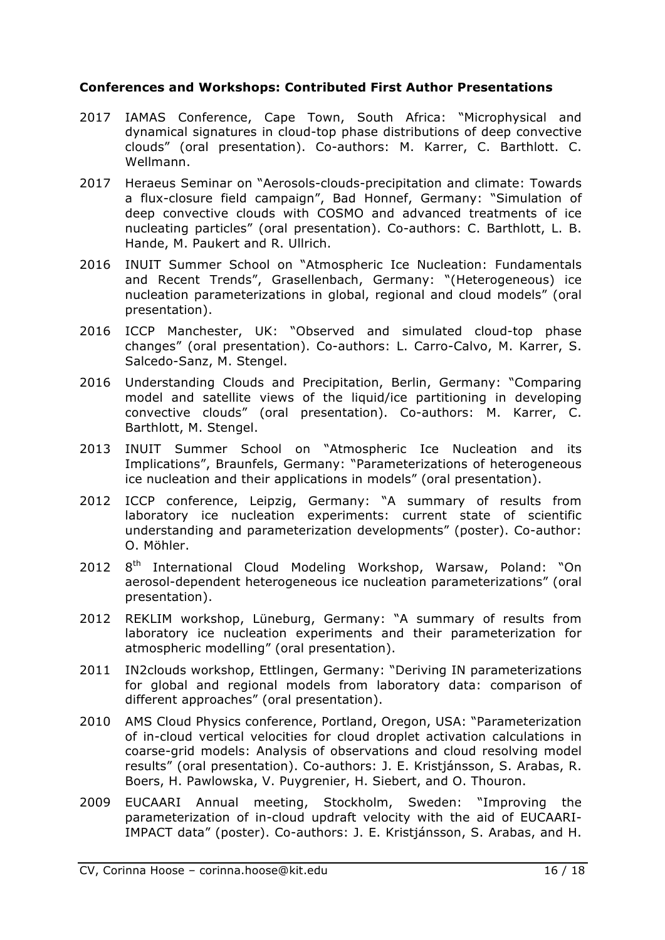## **Conferences and Workshops: Contributed First Author Presentations**

- 2017 IAMAS Conference, Cape Town, South Africa: "Microphysical and dynamical signatures in cloud-top phase distributions of deep convective clouds" (oral presentation). Co-authors: M. Karrer, C. Barthlott. C. Wellmann.
- 2017 Heraeus Seminar on "Aerosols-clouds-precipitation and climate: Towards a flux-closure field campaign", Bad Honnef, Germany: "Simulation of deep convective clouds with COSMO and advanced treatments of ice nucleating particles" (oral presentation). Co-authors: C. Barthlott, L. B. Hande, M. Paukert and R. Ullrich.
- 2016 INUIT Summer School on "Atmospheric Ice Nucleation: Fundamentals and Recent Trends", Grasellenbach, Germany: "(Heterogeneous) ice nucleation parameterizations in global, regional and cloud models" (oral presentation).
- 2016 ICCP Manchester, UK: "Observed and simulated cloud-top phase changes" (oral presentation). Co-authors: L. Carro-Calvo, M. Karrer, S. Salcedo-Sanz, M. Stengel.
- 2016 Understanding Clouds and Precipitation, Berlin, Germany: "Comparing model and satellite views of the liquid/ice partitioning in developing convective clouds" (oral presentation). Co-authors: M. Karrer, C. Barthlott, M. Stengel.
- 2013 INUIT Summer School on "Atmospheric Ice Nucleation and its Implications", Braunfels, Germany: "Parameterizations of heterogeneous ice nucleation and their applications in models" (oral presentation).
- 2012 ICCP conference, Leipzig, Germany: "A summary of results from laboratory ice nucleation experiments: current state of scientific understanding and parameterization developments" (poster). Co-author: O. Möhler.
- 2012 8<sup>th</sup> International Cloud Modeling Workshop, Warsaw, Poland: "On aerosol-dependent heterogeneous ice nucleation parameterizations" (oral presentation).
- 2012 REKLIM workshop, Lüneburg, Germany: "A summary of results from laboratory ice nucleation experiments and their parameterization for atmospheric modelling" (oral presentation).
- 2011 IN2clouds workshop, Ettlingen, Germany: "Deriving IN parameterizations for global and regional models from laboratory data: comparison of different approaches" (oral presentation).
- 2010 AMS Cloud Physics conference, Portland, Oregon, USA: "Parameterization of in-cloud vertical velocities for cloud droplet activation calculations in coarse-grid models: Analysis of observations and cloud resolving model results" (oral presentation). Co-authors: J. E. Kristjánsson, S. Arabas, R. Boers, H. Pawlowska, V. Puygrenier, H. Siebert, and O. Thouron.
- 2009 EUCAARI Annual meeting, Stockholm, Sweden: "Improving the parameterization of in-cloud updraft velocity with the aid of EUCAARI-IMPACT data" (poster). Co-authors: J. E. Kristjánsson, S. Arabas, and H.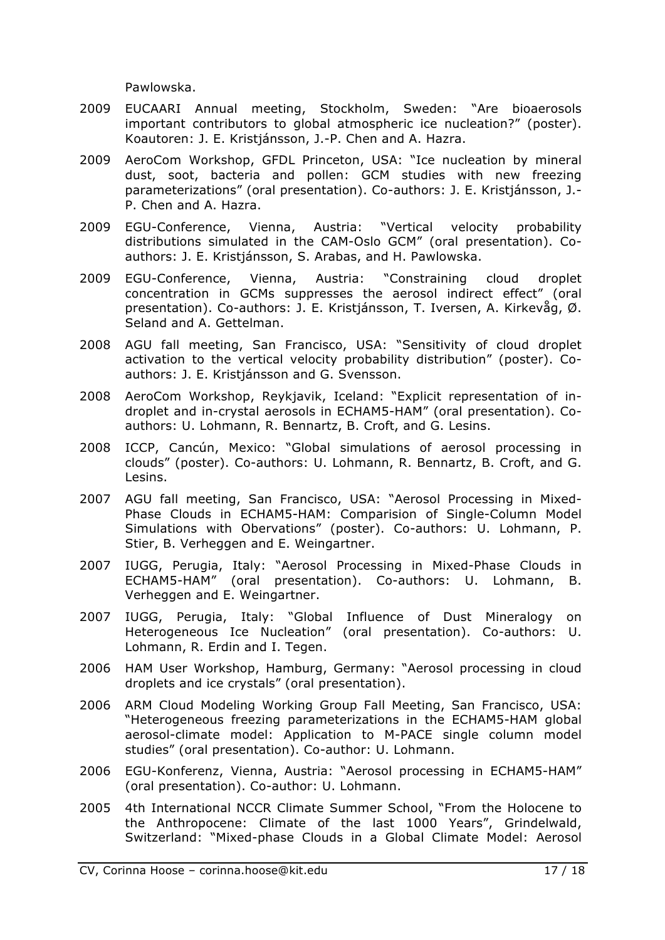Pawlowska.

- 2009 EUCAARI Annual meeting, Stockholm, Sweden: "Are bioaerosols important contributors to global atmospheric ice nucleation?" (poster). Koautoren: J. E. Kristjánsson, J.-P. Chen and A. Hazra.
- 2009 AeroCom Workshop, GFDL Princeton, USA: "Ice nucleation by mineral dust, soot, bacteria and pollen: GCM studies with new freezing parameterizations" (oral presentation). Co-authors: J. E. Kristjánsson, J.- P. Chen and A. Hazra.
- 2009 EGU-Conference, Vienna, Austria: "Vertical velocity probability distributions simulated in the CAM-Oslo GCM" (oral presentation). Coauthors: J. E. Kristjánsson, S. Arabas, and H. Pawlowska.
- 2009 EGU-Conference, Vienna, Austria: "Constraining cloud droplet concentration in GCMs suppresses the aerosol indirect effect" (oral presentation). Co-authors: J. E. Kristjánsson, T. Iversen, A. Kirkevåg, Ø. Seland and A. Gettelman.
- 2008 AGU fall meeting, San Francisco, USA: "Sensitivity of cloud droplet activation to the vertical velocity probability distribution" (poster). Coauthors: J. E. Kristjánsson and G. Svensson.
- 2008 AeroCom Workshop, Reykjavik, Iceland: "Explicit representation of indroplet and in-crystal aerosols in ECHAM5-HAM" (oral presentation). Coauthors: U. Lohmann, R. Bennartz, B. Croft, and G. Lesins.
- 2008 ICCP, Cancún, Mexico: "Global simulations of aerosol processing in clouds" (poster). Co-authors: U. Lohmann, R. Bennartz, B. Croft, and G. Lesins.
- 2007 AGU fall meeting, San Francisco, USA: "Aerosol Processing in Mixed-Phase Clouds in ECHAM5-HAM: Comparision of Single-Column Model Simulations with Obervations" (poster). Co-authors: U. Lohmann, P. Stier, B. Verheggen and E. Weingartner.
- 2007 IUGG, Perugia, Italy: "Aerosol Processing in Mixed-Phase Clouds in ECHAM5-HAM" (oral presentation). Co-authors: U. Lohmann, B. Verheggen and E. Weingartner.
- 2007 IUGG, Perugia, Italy: "Global Influence of Dust Mineralogy on Heterogeneous Ice Nucleation" (oral presentation). Co-authors: U. Lohmann, R. Erdin and I. Tegen.
- 2006 HAM User Workshop, Hamburg, Germany: "Aerosol processing in cloud droplets and ice crystals" (oral presentation).
- 2006 ARM Cloud Modeling Working Group Fall Meeting, San Francisco, USA: "Heterogeneous freezing parameterizations in the ECHAM5-HAM global aerosol-climate model: Application to M-PACE single column model studies" (oral presentation). Co-author: U. Lohmann.
- 2006 EGU-Konferenz, Vienna, Austria: "Aerosol processing in ECHAM5-HAM" (oral presentation). Co-author: U. Lohmann.
- 2005 4th International NCCR Climate Summer School, "From the Holocene to the Anthropocene: Climate of the last 1000 Years", Grindelwald, Switzerland: "Mixed-phase Clouds in a Global Climate Model: Aerosol